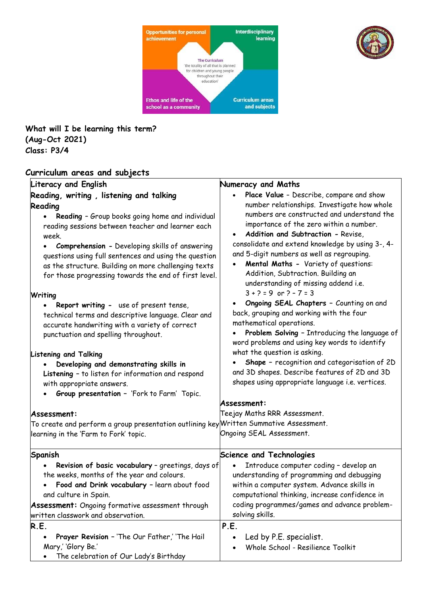



**What will I be learning this term? (Aug-Oct 2021) Class: P3/4**

## **Curriculum areas and subjects**

#### **Literacy and English Reading, writing , listening and talking Reading** • **Reading** – Group books going home and individual reading sessions between teacher and learner each week. • **Comprehension -** Developing skills of answering questions using full sentences and using the question as the structure. Building on more challenging texts for those progressing towards the end of first level. **Writing** • **Report writing -** use of present tense, technical terms and descriptive language. Clear and accurate handwriting with a variety of correct punctuation and spelling throughout. **Listening and Talking** • **Developing and demonstrating skills in Listening –** to listen for information and respond with appropriate answers. • **Group presentation –** 'Fork to Farm' Topic. **Assessment:** To create and perform a group presentation outlining key Written Summative Assessment. learning in the 'Farm to Fork' topic. **Numeracy and Maths** • **Place Value –** Describe, compare and show number relationships. Investigate how whole numbers are constructed and understand the importance of the zero within a number. • **Addition and Subtraction -** Revise, consolidate and extend knowledge by using 3-, 4 and 5-digit numbers as well as regrouping. • **Mental Maths -** Variety of questions: Addition, Subtraction. Building an understanding of missing addend i.e.  $3 + 2 = 9$  or  $2 - 7 = 3$ • **Ongoing SEAL Chapters –** Counting on and back, grouping and working with the four mathematical operations. • **Problem Solving –** Introducing the language of word problems and using key words to identify what the question is asking. • **Shape –** recognition and categorisation of 2D and 3D shapes. Describe features of 2D and 3D shapes using appropriate language i.e. vertices. **Assessment:** Teejay Maths RRR Assessment. Ongoing SEAL Assessment. **Spanish** • **Revision of basic vocabulary** – greetings, days of the weeks, months of the year and colours. • **Food and Drink vocabulary –** learn about food and culture in Spain. **Assessment:** Ongoing formative assessment through written classwork and observation. **Science and Technologies** • Introduce computer coding – develop an understanding of programming and debugging within a computer system. Advance skills in computational thinking, increase confidence in coding programmes/games and advance problemsolving skills. **R.E. P.E.**

- **Prayer Revision –** 'The Our Father,' 'The Hail Mary,' 'Glory Be.'
	- The celebration of Our Lady's Birthday
- Led by P.E. specialist.
- Whole School Resilience Toolkit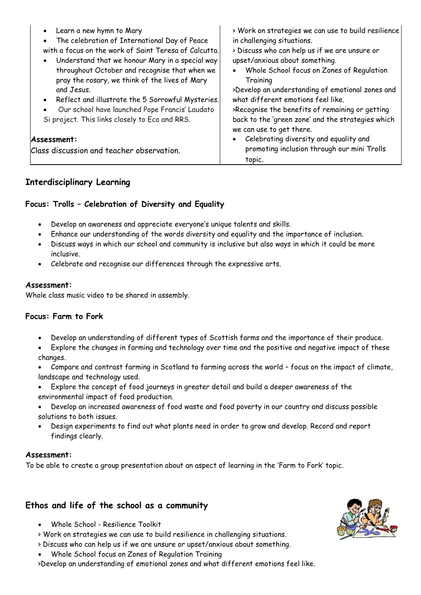| • Learn a new hymn to Mary<br>The celebration of International Day of Peace<br>$\bullet$<br>with a focus on the work of Saint Teresa of Calcutta.<br>Understand that we honour Mary in a special way<br>throughout October and recognise that when we<br>pray the rosary, we think of the lives of Mary<br>and Jesus.<br>• Reflect and illustrate the 5 Sorrowful Mysteries.<br>Our school have launched Pope Francis' Laudato<br>Si project. This links closely to Eco and RRS. | > Work on strategies we can use to build resilience<br>in challenging situations.<br>> Discuss who can help us if we are unsure or<br>upset/anxious about something.<br>Whole School focus on Zones of Regulation<br>Training<br>>Develop an understanding of emotional zones and<br>what different emotions feel like.<br>>Recognise the benefits of remaining or getting<br>back to the 'green zone' and the strategies which<br>we can use to get there. |
|----------------------------------------------------------------------------------------------------------------------------------------------------------------------------------------------------------------------------------------------------------------------------------------------------------------------------------------------------------------------------------------------------------------------------------------------------------------------------------|-------------------------------------------------------------------------------------------------------------------------------------------------------------------------------------------------------------------------------------------------------------------------------------------------------------------------------------------------------------------------------------------------------------------------------------------------------------|
| Assessment:                                                                                                                                                                                                                                                                                                                                                                                                                                                                      | Celebrating diversity and equality and                                                                                                                                                                                                                                                                                                                                                                                                                      |
| Class discussion and teacher observation.                                                                                                                                                                                                                                                                                                                                                                                                                                        | promoting inclusion through our mini Trolls<br>topic.                                                                                                                                                                                                                                                                                                                                                                                                       |

# **Interdisciplinary Learning**

# **Focus: Trolls – Celebration of Diversity and Equality**

- Develop an awareness and appreciate everyone's unique talents and skills.
- Enhance our understanding of the words diversity and equality and the importance of inclusion.
- Discuss ways in which our school and community is inclusive but also ways in which it could be more inclusive.
- Celebrate and recognise our differences through the expressive arts.

### **Assessment:**

Whole class music video to be shared in assembly.

### **Focus: Farm to Fork**

- Develop an understanding of different types of Scottish farms and the importance of their produce.
- Explore the changes in farming and technology over time and the positive and negative impact of these changes.
- Compare and contrast farming in Scotland to farming across the world focus on the impact of climate, landscape and technology used.
- Explore the concept of food journeys in greater detail and build a deeper awareness of the environmental impact of food production.
- Develop an increased awareness of food waste and food poverty in our country and discuss possible solutions to both issues.
- Design experiments to find out what plants need in order to grow and develop. Record and report findings clearly.

### **Assessment:**

To be able to create a group presentation about an aspect of learning in the 'Farm to Fork' topic.

# **Ethos and life of the school as a community**

- Whole School Resilience Toolkit
- > Work on strategies we can use to build resilience in challenging situations.
- > Discuss who can help us if we are unsure or upset/anxious about something.
- Whole School focus on Zones of Regulation Training

>Develop an understanding of emotional zones and what different emotions feel like.